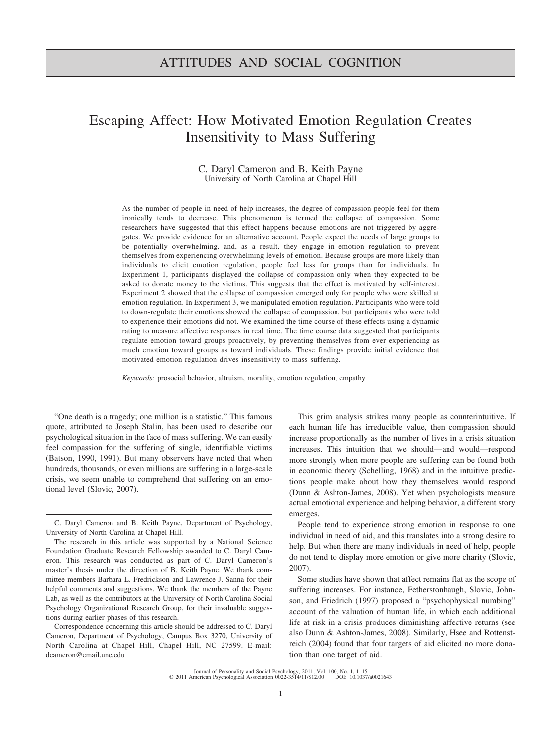# Escaping Affect: How Motivated Emotion Regulation Creates Insensitivity to Mass Suffering

# C. Daryl Cameron and B. Keith Payne University of North Carolina at Chapel Hill

As the number of people in need of help increases, the degree of compassion people feel for them ironically tends to decrease. This phenomenon is termed the collapse of compassion. Some researchers have suggested that this effect happens because emotions are not triggered by aggregates. We provide evidence for an alternative account. People expect the needs of large groups to be potentially overwhelming, and, as a result, they engage in emotion regulation to prevent themselves from experiencing overwhelming levels of emotion. Because groups are more likely than individuals to elicit emotion regulation, people feel less for groups than for individuals. In Experiment 1, participants displayed the collapse of compassion only when they expected to be asked to donate money to the victims. This suggests that the effect is motivated by self-interest. Experiment 2 showed that the collapse of compassion emerged only for people who were skilled at emotion regulation. In Experiment 3, we manipulated emotion regulation. Participants who were told to down-regulate their emotions showed the collapse of compassion, but participants who were told to experience their emotions did not. We examined the time course of these effects using a dynamic rating to measure affective responses in real time. The time course data suggested that participants regulate emotion toward groups proactively, by preventing themselves from ever experiencing as much emotion toward groups as toward individuals. These findings provide initial evidence that motivated emotion regulation drives insensitivity to mass suffering.

*Keywords:* prosocial behavior, altruism, morality, emotion regulation, empathy

"One death is a tragedy; one million is a statistic." This famous quote, attributed to Joseph Stalin, has been used to describe our psychological situation in the face of mass suffering. We can easily feel compassion for the suffering of single, identifiable victims (Batson, 1990, 1991). But many observers have noted that when hundreds, thousands, or even millions are suffering in a large-scale crisis, we seem unable to comprehend that suffering on an emotional level (Slovic, 2007).

Correspondence concerning this article should be addressed to C. Daryl Cameron, Department of Psychology, Campus Box 3270, University of North Carolina at Chapel Hill, Chapel Hill, NC 27599. E-mail: dcameron@email.unc.edu

This grim analysis strikes many people as counterintuitive. If each human life has irreducible value, then compassion should increase proportionally as the number of lives in a crisis situation increases. This intuition that we should—and would—respond more strongly when more people are suffering can be found both in economic theory (Schelling, 1968) and in the intuitive predictions people make about how they themselves would respond (Dunn & Ashton-James, 2008). Yet when psychologists measure actual emotional experience and helping behavior, a different story emerges.

People tend to experience strong emotion in response to one individual in need of aid, and this translates into a strong desire to help. But when there are many individuals in need of help, people do not tend to display more emotion or give more charity (Slovic, 2007).

Some studies have shown that affect remains flat as the scope of suffering increases. For instance, Fetherstonhaugh, Slovic, Johnson, and Friedrich (1997) proposed a "psychophysical numbing" account of the valuation of human life, in which each additional life at risk in a crisis produces diminishing affective returns (see also Dunn & Ashton-James, 2008). Similarly, Hsee and Rottenstreich (2004) found that four targets of aid elicited no more donation than one target of aid.

Journal of Personality and Social Psychology, 2011, Vol. 100, No. 1, 1–15 © 2011 American Psychological Association 0022-3514/11/\$12.00 DOI: 10.1037/a0021643

C. Daryl Cameron and B. Keith Payne, Department of Psychology, University of North Carolina at Chapel Hill.

The research in this article was supported by a National Science Foundation Graduate Research Fellowship awarded to C. Daryl Cameron. This research was conducted as part of C. Daryl Cameron's master's thesis under the direction of B. Keith Payne. We thank committee members Barbara L. Fredrickson and Lawrence J. Sanna for their helpful comments and suggestions. We thank the members of the Payne Lab, as well as the contributors at the University of North Carolina Social Psychology Organizational Research Group, for their invaluable suggestions during earlier phases of this research.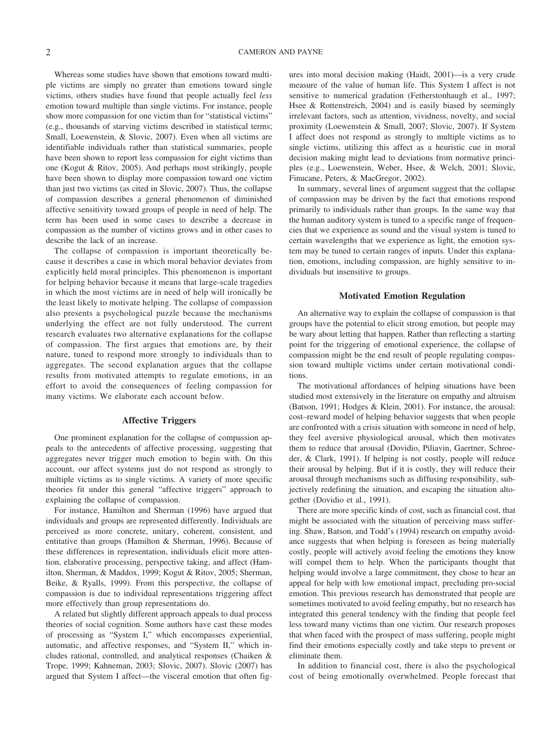Whereas some studies have shown that emotions toward multiple victims are simply no greater than emotions toward single victims, others studies have found that people actually feel *less* emotion toward multiple than single victims. For instance, people show more compassion for one victim than for "statistical victims" (e.g., thousands of starving victims described in statistical terms; Small, Loewenstein, & Slovic, 2007). Even when all victims are identifiable individuals rather than statistical summaries, people have been shown to report less compassion for eight victims than one (Kogut & Ritov, 2005). And perhaps most strikingly, people have been shown to display more compassion toward one victim than just two victims (as cited in Slovic, 2007). Thus, the collapse of compassion describes a general phenomenon of diminished affective sensitivity toward groups of people in need of help. The term has been used in some cases to describe a decrease in compassion as the number of victims grows and in other cases to describe the lack of an increase.

The collapse of compassion is important theoretically because it describes a case in which moral behavior deviates from explicitly held moral principles. This phenomenon is important for helping behavior because it means that large-scale tragedies in which the most victims are in need of help will ironically be the least likely to motivate helping. The collapse of compassion also presents a psychological puzzle because the mechanisms underlying the effect are not fully understood. The current research evaluates two alternative explanations for the collapse of compassion. The first argues that emotions are, by their nature, tuned to respond more strongly to individuals than to aggregates. The second explanation argues that the collapse results from motivated attempts to regulate emotions, in an effort to avoid the consequences of feeling compassion for many victims. We elaborate each account below.

# **Affective Triggers**

One prominent explanation for the collapse of compassion appeals to the antecedents of affective processing, suggesting that aggregates never trigger much emotion to begin with. On this account, our affect systems just do not respond as strongly to multiple victims as to single victims. A variety of more specific theories fit under this general "affective triggers" approach to explaining the collapse of compassion.

For instance, Hamilton and Sherman (1996) have argued that individuals and groups are represented differently. Individuals are perceived as more concrete, unitary, coherent, consistent, and entitative than groups (Hamilton & Sherman, 1996). Because of these differences in representation, individuals elicit more attention, elaborative processing, perspective taking, and affect (Hamilton, Sherman, & Maddox, 1999; Kogut & Ritov, 2005; Sherman, Beike, & Ryalls, 1999). From this perspective, the collapse of compassion is due to individual representations triggering affect more effectively than group representations do.

A related but slightly different approach appeals to dual process theories of social cognition. Some authors have cast these modes of processing as "System I," which encompasses experiential, automatic, and affective responses, and "System II," which includes rational, controlled, and analytical responses (Chaiken & Trope, 1999; Kahneman, 2003; Slovic, 2007). Slovic (2007) has argued that System I affect—the visceral emotion that often figures into moral decision making (Haidt, 2001)—is a very crude measure of the value of human life. This System I affect is not sensitive to numerical gradation (Fetherstonhaugh et al., 1997; Hsee & Rottenstreich, 2004) and is easily biased by seemingly irrelevant factors, such as attention, vividness, novelty, and social proximity (Loewenstein & Small, 2007; Slovic, 2007). If System I affect does not respond as strongly to multiple victims as to single victims, utilizing this affect as a heuristic cue in moral decision making might lead to deviations from normative principles (e.g., Loewenstein, Weber, Hsee, & Welch, 2001; Slovic, Finucane, Peters, & MacGregor, 2002).

In summary, several lines of argument suggest that the collapse of compassion may be driven by the fact that emotions respond primarily to individuals rather than groups. In the same way that the human auditory system is tuned to a specific range of frequencies that we experience as sound and the visual system is tuned to certain wavelengths that we experience as light, the emotion system may be tuned to certain ranges of inputs. Under this explanation, emotions, including compassion, are highly sensitive to individuals but insensitive to groups.

# **Motivated Emotion Regulation**

An alternative way to explain the collapse of compassion is that groups have the potential to elicit strong emotion, but people may be wary about letting that happen. Rather than reflecting a starting point for the triggering of emotional experience, the collapse of compassion might be the end result of people regulating compassion toward multiple victims under certain motivational conditions.

The motivational affordances of helping situations have been studied most extensively in the literature on empathy and altruism (Batson, 1991; Hodges & Klein, 2001). For instance, the arousal: cost–reward model of helping behavior suggests that when people are confronted with a crisis situation with someone in need of help, they feel aversive physiological arousal, which then motivates them to reduce that arousal (Dovidio, Piliavin, Gaertner, Schroeder, & Clark, 1991). If helping is not costly, people will reduce their arousal by helping. But if it is costly, they will reduce their arousal through mechanisms such as diffusing responsibility, subjectively redefining the situation, and escaping the situation altogether (Dovidio et al., 1991).

There are more specific kinds of cost, such as financial cost, that might be associated with the situation of perceiving mass suffering. Shaw, Batson, and Todd's (1994) research on empathy avoidance suggests that when helping is foreseen as being materially costly, people will actively avoid feeling the emotions they know will compel them to help. When the participants thought that helping would involve a large commitment, they chose to hear an appeal for help with low emotional impact, precluding pro-social emotion. This previous research has demonstrated that people are sometimes motivated to avoid feeling empathy, but no research has integrated this general tendency with the finding that people feel less toward many victims than one victim. Our research proposes that when faced with the prospect of mass suffering, people might find their emotions especially costly and take steps to prevent or eliminate them.

In addition to financial cost, there is also the psychological cost of being emotionally overwhelmed. People forecast that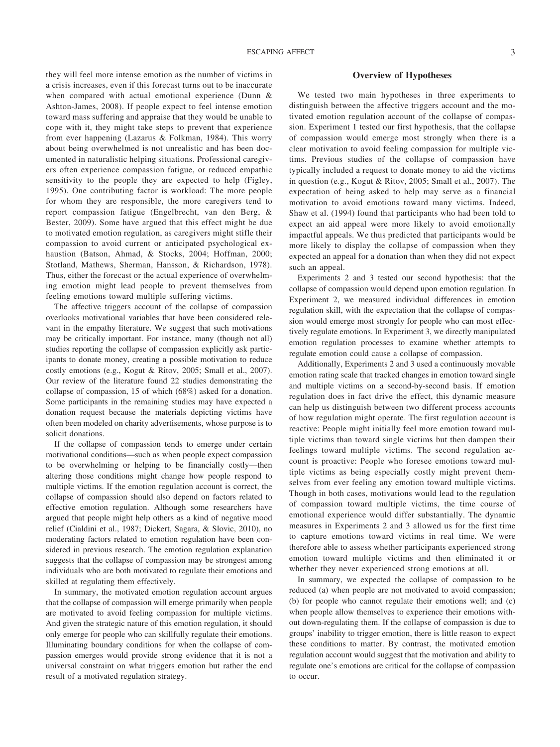they will feel more intense emotion as the number of victims in a crisis increases, even if this forecast turns out to be inaccurate when compared with actual emotional experience (Dunn & Ashton-James, 2008). If people expect to feel intense emotion toward mass suffering and appraise that they would be unable to cope with it, they might take steps to prevent that experience from ever happening (Lazarus & Folkman, 1984). This worry about being overwhelmed is not unrealistic and has been documented in naturalistic helping situations. Professional caregivers often experience compassion fatigue, or reduced empathic sensitivity to the people they are expected to help (Figley, 1995). One contributing factor is workload: The more people for whom they are responsible, the more caregivers tend to report compassion fatigue (Engelbrecht, van den Berg, & Bester, 2009). Some have argued that this effect might be due to motivated emotion regulation, as caregivers might stifle their compassion to avoid current or anticipated psychological exhaustion (Batson, Ahmad, & Stocks, 2004; Hoffman, 2000; Stotland, Mathews, Sherman, Hansson, & Richardson, 1978). Thus, either the forecast or the actual experience of overwhelming emotion might lead people to prevent themselves from feeling emotions toward multiple suffering victims.

The affective triggers account of the collapse of compassion overlooks motivational variables that have been considered relevant in the empathy literature. We suggest that such motivations may be critically important. For instance, many (though not all) studies reporting the collapse of compassion explicitly ask participants to donate money, creating a possible motivation to reduce costly emotions (e.g., Kogut & Ritov, 2005; Small et al., 2007). Our review of the literature found 22 studies demonstrating the collapse of compassion, 15 of which (68%) asked for a donation. Some participants in the remaining studies may have expected a donation request because the materials depicting victims have often been modeled on charity advertisements, whose purpose is to solicit donations.

If the collapse of compassion tends to emerge under certain motivational conditions—such as when people expect compassion to be overwhelming or helping to be financially costly—then altering those conditions might change how people respond to multiple victims. If the emotion regulation account is correct, the collapse of compassion should also depend on factors related to effective emotion regulation. Although some researchers have argued that people might help others as a kind of negative mood relief (Cialdini et al., 1987; Dickert, Sagara, & Slovic, 2010), no moderating factors related to emotion regulation have been considered in previous research. The emotion regulation explanation suggests that the collapse of compassion may be strongest among individuals who are both motivated to regulate their emotions and skilled at regulating them effectively.

In summary, the motivated emotion regulation account argues that the collapse of compassion will emerge primarily when people are motivated to avoid feeling compassion for multiple victims. And given the strategic nature of this emotion regulation, it should only emerge for people who can skillfully regulate their emotions. Illuminating boundary conditions for when the collapse of compassion emerges would provide strong evidence that it is not a universal constraint on what triggers emotion but rather the end result of a motivated regulation strategy.

# **Overview of Hypotheses**

We tested two main hypotheses in three experiments to distinguish between the affective triggers account and the motivated emotion regulation account of the collapse of compassion. Experiment 1 tested our first hypothesis, that the collapse of compassion would emerge most strongly when there is a clear motivation to avoid feeling compassion for multiple victims. Previous studies of the collapse of compassion have typically included a request to donate money to aid the victims in question (e.g., Kogut & Ritov, 2005; Small et al., 2007). The expectation of being asked to help may serve as a financial motivation to avoid emotions toward many victims. Indeed, Shaw et al. (1994) found that participants who had been told to expect an aid appeal were more likely to avoid emotionally impactful appeals. We thus predicted that participants would be more likely to display the collapse of compassion when they expected an appeal for a donation than when they did not expect such an appeal.

Experiments 2 and 3 tested our second hypothesis: that the collapse of compassion would depend upon emotion regulation. In Experiment 2, we measured individual differences in emotion regulation skill, with the expectation that the collapse of compassion would emerge most strongly for people who can most effectively regulate emotions. In Experiment 3, we directly manipulated emotion regulation processes to examine whether attempts to regulate emotion could cause a collapse of compassion.

Additionally, Experiments 2 and 3 used a continuously movable emotion rating scale that tracked changes in emotion toward single and multiple victims on a second-by-second basis. If emotion regulation does in fact drive the effect, this dynamic measure can help us distinguish between two different process accounts of how regulation might operate. The first regulation account is reactive: People might initially feel more emotion toward multiple victims than toward single victims but then dampen their feelings toward multiple victims. The second regulation account is proactive: People who foresee emotions toward multiple victims as being especially costly might prevent themselves from ever feeling any emotion toward multiple victims. Though in both cases, motivations would lead to the regulation of compassion toward multiple victims, the time course of emotional experience would differ substantially. The dynamic measures in Experiments 2 and 3 allowed us for the first time to capture emotions toward victims in real time. We were therefore able to assess whether participants experienced strong emotion toward multiple victims and then eliminated it or whether they never experienced strong emotions at all.

In summary, we expected the collapse of compassion to be reduced (a) when people are not motivated to avoid compassion; (b) for people who cannot regulate their emotions well; and (c) when people allow themselves to experience their emotions without down-regulating them. If the collapse of compassion is due to groups' inability to trigger emotion, there is little reason to expect these conditions to matter. By contrast, the motivated emotion regulation account would suggest that the motivation and ability to regulate one's emotions are critical for the collapse of compassion to occur.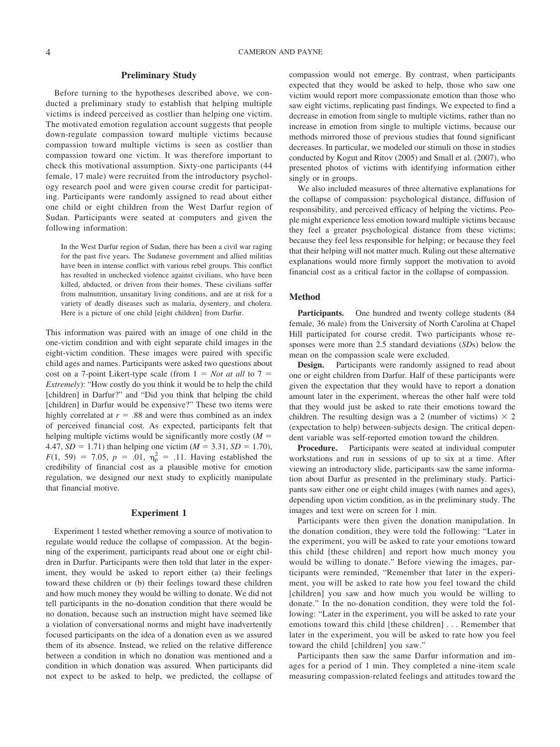# **Preliminary Study**

Before turning to the hypotheses described above, we conducted a preliminary study to establish that helping multiple victims is indeed perceived as costlier than helping one victim. The motivated emotion regulation account suggests that people down-regulate compassion toward multiple victims because compassion toward multiple victims is seen as costlier than compassion toward one victim. It was therefore important to check this motivational assumption. Sixty-one participants (44 female, 17 male) were recruited from the introductory psychology research pool and were given course credit for participating. Participants were randomly assigned to read about either one child or eight children from the West Darfur region of Sudan. Participants were seated at computers and given the following information:

In the West Darfur region of Sudan, there has been a civil war raging for the past five years. The Sudanese government and allied militias have been in intense conflict with various rebel groups. This conflict has resulted in unchecked violence against civilians, who have been killed, abducted, or driven from their homes. These civilians suffer from malnutrition, unsanitary living conditions, and are at risk for a variety of deadly diseases such as malaria, dysentery, and cholera. Here is a picture of one child [eight children] from Darfur.

This information was paired with an image of one child in the one-victim condition and with eight separate child images in the eight-victim condition. These images were paired with specific child ages and names. Participants were asked two questions about cost on a 7-point Likert-type scale (from  $1 = Not$  *at all* to  $7 =$ *Extremely*): "How costly do you think it would be to help the child [children] in Darfur?" and "Did you think that helping the child [children] in Darfur would be expensive?" These two items were highly correlated at  $r = .88$  and were thus combined as an index of perceived financial cost. As expected, participants felt that helping multiple victims would be significantly more costly  $(M =$ 4.47,  $SD = 1.71$ ) than helping one victim ( $M = 3.31$ ,  $SD = 1.70$ ),  $F(1, 59) = 7.05, p = .01, \eta_p^2 = .11$ . Having established the credibility of financial cost as a plausible motive for emotion regulation, we designed our next study to explicitly manipulate that financial motive.

# **Experiment 1**

Experiment 1 tested whether removing a source of motivation to regulate would reduce the collapse of compassion. At the beginning of the experiment, participants read about one or eight children in Darfur. Participants were then told that later in the experiment, they would be asked to report either (a) their feelings toward these children or (b) their feelings toward these children and how much money they would be willing to donate. We did not tell participants in the no-donation condition that there would be no donation, because such an instruction might have seemed like a violation of conversational norms and might have inadvertently focused participants on the idea of a donation even as we assured them of its absence. Instead, we relied on the relative difference between a condition in which no donation was mentioned and a condition in which donation was assured. When participants did not expect to be asked to help, we predicted, the collapse of compassion would not emerge. By contrast, when participants expected that they would be asked to help, those who saw one victim would report more compassionate emotion than those who saw eight victims, replicating past findings. We expected to find a decrease in emotion from single to multiple victims, rather than no increase in emotion from single to multiple victims, because our methods mirrored those of previous studies that found significant decreases. In particular, we modeled our stimuli on those in studies conducted by Kogut and Ritov (2005) and Small et al. (2007), who presented photos of victims with identifying information either singly or in groups.

We also included measures of three alternative explanations for the collapse of compassion: psychological distance, diffusion of responsibility, and perceived efficacy of helping the victims. People might experience less emotion toward multiple victims because they feel a greater psychological distance from these victims; because they feel less responsible for helping; or because they feel that their helping will not matter much. Ruling out these alternative explanations would more firmly support the motivation to avoid financial cost as a critical factor in the collapse of compassion.

# **Method**

Participants. One hundred and twenty college students (84) female, 36 male) from the University of North Carolina at Chapel Hill participated for course credit. Two participants whose responses were more than 2.5 standard deviations (*SD*s) below the mean on the compassion scale were excluded.

**Design.** Participants were randomly assigned to read about one or eight children from Darfur. Half of these participants were given the expectation that they would have to report a donation amount later in the experiment, whereas the other half were told that they would just be asked to rate their emotions toward the children. The resulting design was a 2 (number of victims)  $\times$  2 (expectation to help) between-subjects design. The critical dependent variable was self-reported emotion toward the children.

**Procedure.** Participants were seated at individual computer workstations and run in sessions of up to six at a time. After viewing an introductory slide, participants saw the same information about Darfur as presented in the preliminary study. Participants saw either one or eight child images (with names and ages), depending upon victim condition, as in the preliminary study. The images and text were on screen for 1 min.

Participants were then given the donation manipulation. In the donation condition, they were told the following: "Later in the experiment, you will be asked to rate your emotions toward this child [these children] and report how much money you would be willing to donate." Before viewing the images, participants were reminded, "Remember that later in the experiment, you will be asked to rate how you feel toward the child [children] you saw and how much you would be willing to donate." In the no-donation condition, they were told the following: "Later in the experiment, you will be asked to rate your emotions toward this child [these children] . . . Remember that later in the experiment, you will be asked to rate how you feel toward the child [children] you saw."

Participants then saw the same Darfur information and images for a period of 1 min. They completed a nine-item scale measuring compassion-related feelings and attitudes toward the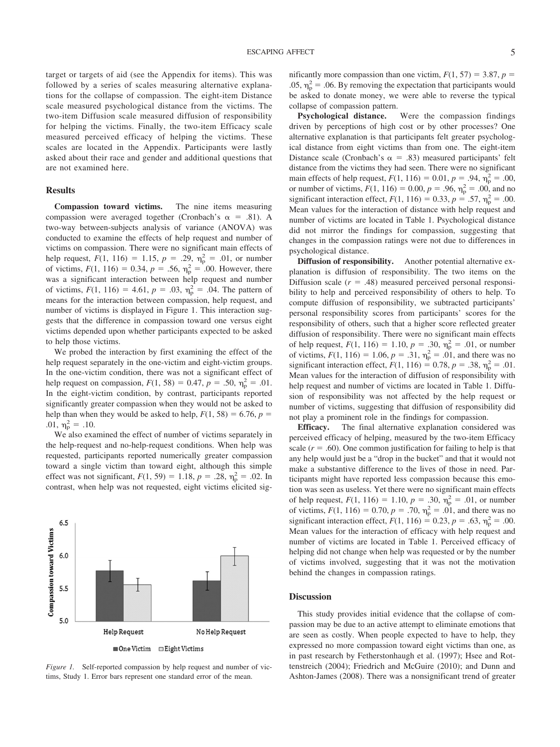target or targets of aid (see the Appendix for items). This was followed by a series of scales measuring alternative explanations for the collapse of compassion. The eight-item Distance scale measured psychological distance from the victims. The two-item Diffusion scale measured diffusion of responsibility for helping the victims. Finally, the two-item Efficacy scale measured perceived efficacy of helping the victims. These scales are located in the Appendix. Participants were lastly asked about their race and gender and additional questions that are not examined here.

#### **Results**

**Compassion toward victims.** The nine items measuring compassion were averaged together (Cronbach's  $\alpha = .81$ ). A two-way between-subjects analysis of variance (ANOVA) was conducted to examine the effects of help request and number of victims on compassion. There were no significant main effects of help request,  $F(1, 116) = 1.15$ ,  $p = .29$ ,  $\eta_p^2 = .01$ , or number of victims,  $F(1, 116) = 0.34$ ,  $p = .56$ ,  $\eta_p^2 = .00$ . However, there was a significant interaction between help request and number of victims,  $F(1, 116) = 4.61$ ,  $p = .03$ ,  $\eta_p^2 = .04$ . The pattern of means for the interaction between compassion, help request, and number of victims is displayed in Figure 1. This interaction suggests that the difference in compassion toward one versus eight victims depended upon whether participants expected to be asked to help those victims.

We probed the interaction by first examining the effect of the help request separately in the one-victim and eight-victim groups. In the one-victim condition, there was not a significant effect of help request on compassion,  $F(1, 58) = 0.47$ ,  $p = .50$ ,  $\eta_p^2 = .01$ . In the eight-victim condition, by contrast, participants reported significantly greater compassion when they would not be asked to help than when they would be asked to help,  $F(1, 58) = 6.76$ ,  $p =$ .01,  $\eta_p^2 = .10$ .

We also examined the effect of number of victims separately in the help-request and no-help-request conditions. When help was requested, participants reported numerically greater compassion toward a single victim than toward eight, although this simple effect was not significant,  $F(1, 59) = 1.18$ ,  $p = .28$ ,  $\eta_p^2 = .02$ . In contrast, when help was not requested, eight victims elicited sig-



*Figure 1.* Self-reported compassion by help request and number of victims, Study 1. Error bars represent one standard error of the mean.

nificantly more compassion than one victim,  $F(1, 57) = 3.87$ ,  $p =$ .05,  $\eta_p^2 = .06$ . By removing the expectation that participants would be asked to donate money, we were able to reverse the typical collapse of compassion pattern.

**Psychological distance.** Were the compassion findings driven by perceptions of high cost or by other processes? One alternative explanation is that participants felt greater psychological distance from eight victims than from one. The eight-item Distance scale (Cronbach's  $\alpha = .83$ ) measured participants' felt distance from the victims they had seen. There were no significant main effects of help request,  $F(1, 116) = 0.01$ ,  $p = .94$ ,  $\eta_p^2 = .00$ , or number of victims,  $F(1, 116) = 0.00, p = .96, \eta_p^2 = .00$ , and no significant interaction effect,  $F(1, 116) = 0.33, p = .57, \eta_{\rm p}^2 = .00$ . Mean values for the interaction of distance with help request and number of victims are located in Table 1. Psychological distance did not mirror the findings for compassion, suggesting that changes in the compassion ratings were not due to differences in psychological distance.

**Diffusion of responsibility.** Another potential alternative explanation is diffusion of responsibility. The two items on the Diffusion scale  $(r = .48)$  measured perceived personal responsibility to help and perceived responsibility of others to help. To compute diffusion of responsibility, we subtracted participants' personal responsibility scores from participants' scores for the responsibility of others, such that a higher score reflected greater diffusion of responsibility. There were no significant main effects of help request,  $F(1, 116) = 1.10$ ,  $p = .30$ ,  $\eta_p^2 = .01$ , or number of victims,  $F(1, 116) = 1.06$ ,  $p = .31$ ,  $\eta_p^2 = .01$ , and there was no significant interaction effect,  $F(1, 116) = 0.78$ ,  $p = .38$ ,  $\eta_p^2 = .01$ . Mean values for the interaction of diffusion of responsibility with help request and number of victims are located in Table 1. Diffusion of responsibility was not affected by the help request or number of victims, suggesting that diffusion of responsibility did not play a prominent role in the findings for compassion.

**Efficacy.** The final alternative explanation considered was perceived efficacy of helping, measured by the two-item Efficacy scale  $(r = .60)$ . One common justification for failing to help is that any help would just be a "drop in the bucket" and that it would not make a substantive difference to the lives of those in need. Participants might have reported less compassion because this emotion was seen as useless. Yet there were no significant main effects of help request,  $F(1, 116) = 1.10$ ,  $p = .30$ ,  $\eta_p^2 = .01$ , or number of victims,  $F(1, 116) = 0.70$ ,  $p = .70$ ,  $\eta_p^2 = .01$ , and there was no significant interaction effect,  $F(1, 116) = 0.23$ ,  $p = .63$ ,  $\eta_p^2 = .00$ . Mean values for the interaction of efficacy with help request and number of victims are located in Table 1. Perceived efficacy of helping did not change when help was requested or by the number of victims involved, suggesting that it was not the motivation behind the changes in compassion ratings.

### **Discussion**

This study provides initial evidence that the collapse of compassion may be due to an active attempt to eliminate emotions that are seen as costly. When people expected to have to help, they expressed no more compassion toward eight victims than one, as in past research by Fetherstonhaugh et al. (1997); Hsee and Rottenstreich (2004); Friedrich and McGuire (2010); and Dunn and Ashton-James (2008). There was a nonsignificant trend of greater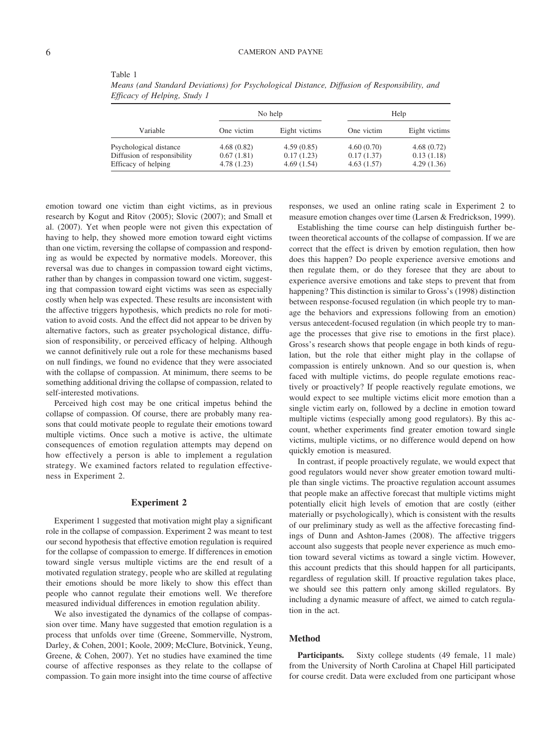| ×<br>۰, |  |
|---------|--|
|---------|--|

| Variable                                                                     | No help                                |                                        | Help                                   |                                        |
|------------------------------------------------------------------------------|----------------------------------------|----------------------------------------|----------------------------------------|----------------------------------------|
|                                                                              | One victim                             | Eight victims                          | One victim                             | Eight victims                          |
| Psychological distance<br>Diffusion of responsibility<br>Efficacy of helping | 4.68(0.82)<br>0.67(1.81)<br>4.78(1.23) | 4.59(0.85)<br>0.17(1.23)<br>4.69(1.54) | 4.60(0.70)<br>0.17(1.37)<br>4.63(1.57) | 4.68(0.72)<br>0.13(1.18)<br>4.29(1.36) |

*Means (and Standard Deviations) for Psychological Distance, Diffusion of Responsibility, and Efficacy of Helping, Study 1*

emotion toward one victim than eight victims, as in previous research by Kogut and Ritov (2005); Slovic (2007); and Small et al. (2007). Yet when people were not given this expectation of having to help, they showed more emotion toward eight victims than one victim, reversing the collapse of compassion and responding as would be expected by normative models. Moreover, this reversal was due to changes in compassion toward eight victims, rather than by changes in compassion toward one victim, suggesting that compassion toward eight victims was seen as especially costly when help was expected. These results are inconsistent with the affective triggers hypothesis, which predicts no role for motivation to avoid costs. And the effect did not appear to be driven by alternative factors, such as greater psychological distance, diffusion of responsibility, or perceived efficacy of helping. Although we cannot definitively rule out a role for these mechanisms based on null findings, we found no evidence that they were associated with the collapse of compassion. At minimum, there seems to be something additional driving the collapse of compassion, related to self-interested motivations.

Perceived high cost may be one critical impetus behind the collapse of compassion. Of course, there are probably many reasons that could motivate people to regulate their emotions toward multiple victims. Once such a motive is active, the ultimate consequences of emotion regulation attempts may depend on how effectively a person is able to implement a regulation strategy. We examined factors related to regulation effectiveness in Experiment 2.

#### **Experiment 2**

Experiment 1 suggested that motivation might play a significant role in the collapse of compassion. Experiment 2 was meant to test our second hypothesis that effective emotion regulation is required for the collapse of compassion to emerge. If differences in emotion toward single versus multiple victims are the end result of a motivated regulation strategy, people who are skilled at regulating their emotions should be more likely to show this effect than people who cannot regulate their emotions well. We therefore measured individual differences in emotion regulation ability.

We also investigated the dynamics of the collapse of compassion over time. Many have suggested that emotion regulation is a process that unfolds over time (Greene, Sommerville, Nystrom, Darley, & Cohen, 2001; Koole, 2009; McClure, Botvinick, Yeung, Greene, & Cohen, 2007). Yet no studies have examined the time course of affective responses as they relate to the collapse of compassion. To gain more insight into the time course of affective responses, we used an online rating scale in Experiment 2 to measure emotion changes over time (Larsen & Fredrickson, 1999).

Establishing the time course can help distinguish further between theoretical accounts of the collapse of compassion. If we are correct that the effect is driven by emotion regulation, then how does this happen? Do people experience aversive emotions and then regulate them, or do they foresee that they are about to experience aversive emotions and take steps to prevent that from happening? This distinction is similar to Gross's (1998) distinction between response-focused regulation (in which people try to manage the behaviors and expressions following from an emotion) versus antecedent-focused regulation (in which people try to manage the processes that give rise to emotions in the first place). Gross's research shows that people engage in both kinds of regulation, but the role that either might play in the collapse of compassion is entirely unknown. And so our question is, when faced with multiple victims, do people regulate emotions reactively or proactively? If people reactively regulate emotions, we would expect to see multiple victims elicit more emotion than a single victim early on, followed by a decline in emotion toward multiple victims (especially among good regulators). By this account, whether experiments find greater emotion toward single victims, multiple victims, or no difference would depend on how quickly emotion is measured.

In contrast, if people proactively regulate, we would expect that good regulators would never show greater emotion toward multiple than single victims. The proactive regulation account assumes that people make an affective forecast that multiple victims might potentially elicit high levels of emotion that are costly (either materially or psychologically), which is consistent with the results of our preliminary study as well as the affective forecasting findings of Dunn and Ashton-James (2008). The affective triggers account also suggests that people never experience as much emotion toward several victims as toward a single victim. However, this account predicts that this should happen for all participants, regardless of regulation skill. If proactive regulation takes place, we should see this pattern only among skilled regulators. By including a dynamic measure of affect, we aimed to catch regulation in the act.

#### **Method**

Participants. Sixty college students (49 female, 11 male) from the University of North Carolina at Chapel Hill participated for course credit. Data were excluded from one participant whose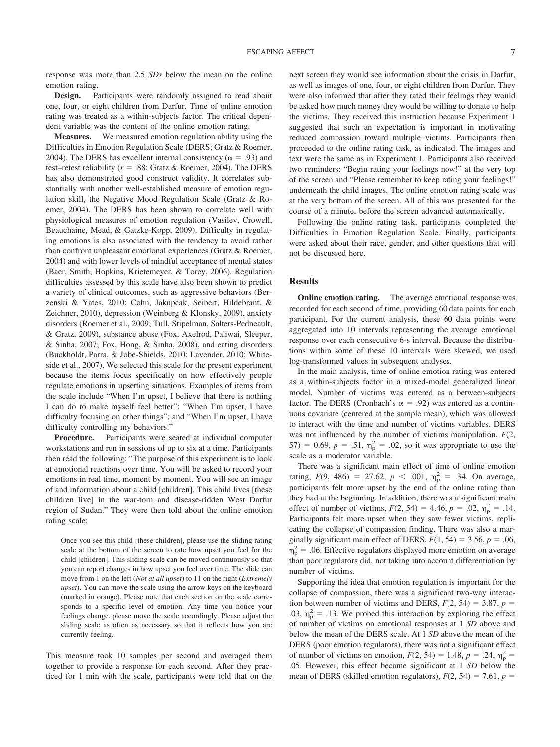response was more than 2.5 *SDs* below the mean on the online emotion rating.

**Design.** Participants were randomly assigned to read about one, four, or eight children from Darfur. Time of online emotion rating was treated as a within-subjects factor. The critical dependent variable was the content of the online emotion rating.

**Measures.** We measured emotion regulation ability using the Difficulties in Emotion Regulation Scale (DERS; Gratz & Roemer, 2004). The DERS has excellent internal consistency ( $\alpha = .93$ ) and test–retest reliability ( $r = .88$ ; Gratz & Roemer, 2004). The DERS has also demonstrated good construct validity. It correlates substantially with another well-established measure of emotion regulation skill, the Negative Mood Regulation Scale (Gratz & Roemer, 2004). The DERS has been shown to correlate well with physiological measures of emotion regulation (Vasilev, Crowell, Beauchaine, Mead, & Gatzke-Kopp, 2009). Difficulty in regulating emotions is also associated with the tendency to avoid rather than confront unpleasant emotional experiences (Gratz & Roemer, 2004) and with lower levels of mindful acceptance of mental states (Baer, Smith, Hopkins, Krietemeyer, & Torey, 2006). Regulation difficulties assessed by this scale have also been shown to predict a variety of clinical outcomes, such as aggressive behaviors (Berzenski & Yates, 2010; Cohn, Jakupcak, Seibert, Hildebrant, & Zeichner, 2010), depression (Weinberg & Klonsky, 2009), anxiety disorders (Roemer et al., 2009; Tull, Stipelman, Salters-Pedneault, & Gratz, 2009), substance abuse (Fox, Axelrod, Paliwai, Sleeper, & Sinha, 2007; Fox, Hong, & Sinha, 2008), and eating disorders (Buckholdt, Parra, & Jobe-Shields, 2010; Lavender, 2010; Whiteside et al., 2007). We selected this scale for the present experiment because the items focus specifically on how effectively people regulate emotions in upsetting situations. Examples of items from the scale include "When I'm upset, I believe that there is nothing I can do to make myself feel better"; "When I'm upset, I have difficulty focusing on other things"; and "When I'm upset, I have difficulty controlling my behaviors."

**Procedure.** Participants were seated at individual computer workstations and run in sessions of up to six at a time. Participants then read the following: "The purpose of this experiment is to look at emotional reactions over time. You will be asked to record your emotions in real time, moment by moment. You will see an image of and information about a child [children]. This child lives [these children live] in the war-torn and disease-ridden West Darfur region of Sudan." They were then told about the online emotion rating scale:

Once you see this child [these children], please use the sliding rating scale at the bottom of the screen to rate how upset you feel for the child [children]. This sliding scale can be moved continuously so that you can report changes in how upset you feel over time. The slide can move from 1 on the left (*Not at all upset*) to 11 on the right (*Extremely upset*). You can move the scale using the arrow keys on the keyboard (marked in orange). Please note that each section on the scale corresponds to a specific level of emotion. Any time you notice your feelings change, please move the scale accordingly. Please adjust the sliding scale as often as necessary so that it reflects how you are currently feeling.

This measure took 10 samples per second and averaged them together to provide a response for each second. After they practiced for 1 min with the scale, participants were told that on the next screen they would see information about the crisis in Darfur, as well as images of one, four, or eight children from Darfur. They were also informed that after they rated their feelings they would be asked how much money they would be willing to donate to help the victims. They received this instruction because Experiment 1 suggested that such an expectation is important in motivating reduced compassion toward multiple victims. Participants then proceeded to the online rating task, as indicated. The images and text were the same as in Experiment 1. Participants also received two reminders: "Begin rating your feelings now!" at the very top of the screen and "Please remember to keep rating your feelings!" underneath the child images. The online emotion rating scale was at the very bottom of the screen. All of this was presented for the course of a minute, before the screen advanced automatically.

Following the online rating task, participants completed the Difficulties in Emotion Regulation Scale. Finally, participants were asked about their race, gender, and other questions that will not be discussed here.

# **Results**

**Online emotion rating.** The average emotional response was recorded for each second of time, providing 60 data points for each participant. For the current analysis, these 60 data points were aggregated into 10 intervals representing the average emotional response over each consecutive 6-s interval. Because the distributions within some of these 10 intervals were skewed, we used log-transformed values in subsequent analyses.

In the main analysis, time of online emotion rating was entered as a within-subjects factor in a mixed-model generalized linear model. Number of victims was entered as a between-subjects factor. The DERS (Cronbach's  $\alpha = .92$ ) was entered as a continuous covariate (centered at the sample mean), which was allowed to interact with the time and number of victims variables. DERS was not influenced by the number of victims manipulation, *F*(2, 57) = 0.69,  $p = .51$ ,  $\eta_p^2 = .02$ , so it was appropriate to use the scale as a moderator variable.

There was a significant main effect of time of online emotion rating,  $F(9, 486) = 27.62$ ,  $p < .001$ ,  $\eta_p^2 = .34$ . On average, participants felt more upset by the end of the online rating than they had at the beginning. In addition, there was a significant main effect of number of victims,  $F(2, 54) = 4.46$ ,  $p = .02$ ,  $\eta_p^2 = .14$ . Participants felt more upset when they saw fewer victims, replicating the collapse of compassion finding. There was also a marginally significant main effect of DERS,  $F(1, 54) = 3.56$ ,  $p = .06$ ,  $\eta_{\rm p}^2$  = .06. Effective regulators displayed more emotion on average than poor regulators did, not taking into account differentiation by number of victims.

Supporting the idea that emotion regulation is important for the collapse of compassion, there was a significant two-way interaction between number of victims and DERS,  $F(2, 54) = 3.87$ ,  $p =$ .03,  $\eta_p^2 = .13$ . We probed this interaction by exploring the effect of number of victims on emotional responses at 1 *SD* above and below the mean of the DERS scale. At 1 *SD* above the mean of the DERS (poor emotion regulators), there was not a significant effect of number of victims on emotion,  $F(2, 54) = 1.48$ ,  $p = .24$ ,  $\eta_p^2 =$ .05. However, this effect became significant at 1 *SD* below the mean of DERS (skilled emotion regulators),  $F(2, 54) = 7.61$ ,  $p =$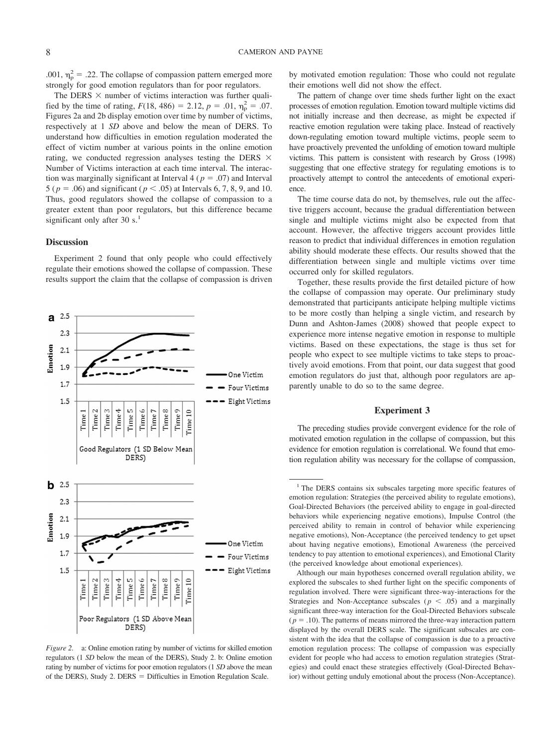.001,  $\eta_p^2 = .22$ . The collapse of compassion pattern emerged more strongly for good emotion regulators than for poor regulators.

The DERS  $\times$  number of victims interaction was further qualified by the time of rating,  $F(18, 486) = 2.12$ ,  $p = .01$ ,  $\eta_p^2 = .07$ . Figures 2a and 2b display emotion over time by number of victims, respectively at 1 *SD* above and below the mean of DERS. To understand how difficulties in emotion regulation moderated the effect of victim number at various points in the online emotion rating, we conducted regression analyses testing the DERS  $\times$ Number of Victims interaction at each time interval. The interaction was marginally significant at Interval  $4 (p = .07)$  and Interval 5 ( $p = .06$ ) and significant ( $p < .05$ ) at Intervals 6, 7, 8, 9, and 10. Thus, good regulators showed the collapse of compassion to a greater extent than poor regulators, but this difference became significant only after 30 s. $<sup>1</sup>$ </sup>

# **Discussion**

Experiment 2 found that only people who could effectively regulate their emotions showed the collapse of compassion. These results support the claim that the collapse of compassion is driven



*Figure 2.* a: Online emotion rating by number of victims for skilled emotion regulators (1 *SD* below the mean of the DERS), Study 2. b: Online emotion rating by number of victims for poor emotion regulators (1 *SD* above the mean of the DERS), Study 2. DERS  $=$  Difficulties in Emotion Regulation Scale.

by motivated emotion regulation: Those who could not regulate their emotions well did not show the effect.

The pattern of change over time sheds further light on the exact processes of emotion regulation. Emotion toward multiple victims did not initially increase and then decrease, as might be expected if reactive emotion regulation were taking place. Instead of reactively down-regulating emotion toward multiple victims, people seem to have proactively prevented the unfolding of emotion toward multiple victims. This pattern is consistent with research by Gross (1998) suggesting that one effective strategy for regulating emotions is to proactively attempt to control the antecedents of emotional experience.

The time course data do not, by themselves, rule out the affective triggers account, because the gradual differentiation between single and multiple victims might also be expected from that account. However, the affective triggers account provides little reason to predict that individual differences in emotion regulation ability should moderate these effects. Our results showed that the differentiation between single and multiple victims over time occurred only for skilled regulators.

Together, these results provide the first detailed picture of how the collapse of compassion may operate. Our preliminary study demonstrated that participants anticipate helping multiple victims to be more costly than helping a single victim, and research by Dunn and Ashton-James (2008) showed that people expect to experience more intense negative emotion in response to multiple victims. Based on these expectations, the stage is thus set for people who expect to see multiple victims to take steps to proactively avoid emotions. From that point, our data suggest that good emotion regulators do just that, although poor regulators are apparently unable to do so to the same degree.

# **Experiment 3**

The preceding studies provide convergent evidence for the role of motivated emotion regulation in the collapse of compassion, but this evidence for emotion regulation is correlational. We found that emotion regulation ability was necessary for the collapse of compassion,

<sup>&</sup>lt;sup>1</sup> The DERS contains six subscales targeting more specific features of emotion regulation: Strategies (the perceived ability to regulate emotions), Goal-Directed Behaviors (the perceived ability to engage in goal-directed behaviors while experiencing negative emotions), Impulse Control (the perceived ability to remain in control of behavior while experiencing negative emotions), Non-Acceptance (the perceived tendency to get upset about having negative emotions), Emotional Awareness (the perceived tendency to pay attention to emotional experiences), and Emotional Clarity (the perceived knowledge about emotional experiences).

Although our main hypotheses concerned overall regulation ability, we explored the subscales to shed further light on the specific components of regulation involved. There were significant three-way-interactions for the Strategies and Non-Acceptance subscales ( $p < .05$ ) and a marginally significant three-way interaction for the Goal-Directed Behaviors subscale  $(p = .10)$ . The patterns of means mirrored the three-way interaction pattern displayed by the overall DERS scale. The significant subscales are consistent with the idea that the collapse of compassion is due to a proactive emotion regulation process: The collapse of compassion was especially evident for people who had access to emotion regulation strategies (Strategies) and could enact these strategies effectively (Goal-Directed Behavior) without getting unduly emotional about the process (Non-Acceptance).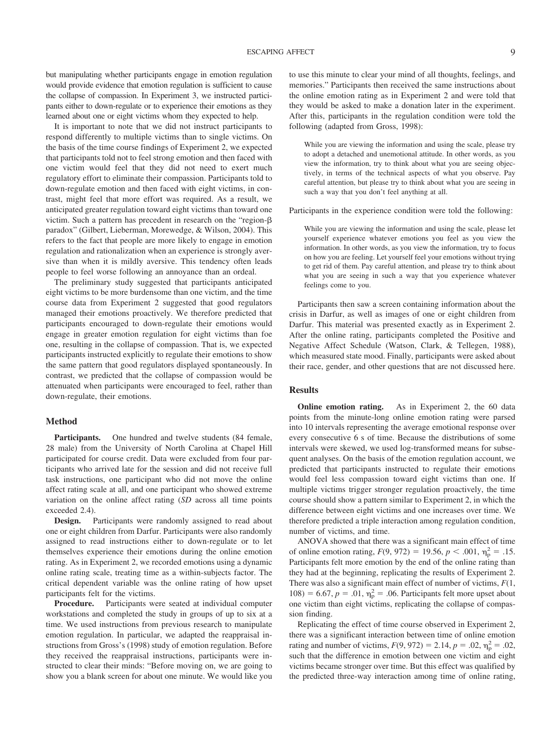but manipulating whether participants engage in emotion regulation would provide evidence that emotion regulation is sufficient to cause the collapse of compassion. In Experiment 3, we instructed participants either to down-regulate or to experience their emotions as they learned about one or eight victims whom they expected to help.

It is important to note that we did not instruct participants to respond differently to multiple victims than to single victims. On the basis of the time course findings of Experiment 2, we expected that participants told not to feel strong emotion and then faced with one victim would feel that they did not need to exert much regulatory effort to eliminate their compassion. Participants told to down-regulate emotion and then faced with eight victims, in contrast, might feel that more effort was required. As a result, we anticipated greater regulation toward eight victims than toward one victim. Such a pattern has precedent in research on the "region-& paradox" (Gilbert, Lieberman, Morewedge, & Wilson, 2004). This refers to the fact that people are more likely to engage in emotion regulation and rationalization when an experience is strongly aversive than when it is mildly aversive. This tendency often leads people to feel worse following an annoyance than an ordeal.

The preliminary study suggested that participants anticipated eight victims to be more burdensome than one victim, and the time course data from Experiment 2 suggested that good regulators managed their emotions proactively. We therefore predicted that participants encouraged to down-regulate their emotions would engage in greater emotion regulation for eight victims than foe one, resulting in the collapse of compassion. That is, we expected participants instructed explicitly to regulate their emotions to show the same pattern that good regulators displayed spontaneously. In contrast, we predicted that the collapse of compassion would be attenuated when participants were encouraged to feel, rather than down-regulate, their emotions.

#### **Method**

Participants. One hundred and twelve students (84 female, 28 male) from the University of North Carolina at Chapel Hill participated for course credit. Data were excluded from four participants who arrived late for the session and did not receive full task instructions, one participant who did not move the online affect rating scale at all, and one participant who showed extreme variation on the online affect rating (*SD* across all time points exceeded 2.4).

**Design.** Participants were randomly assigned to read about one or eight children from Darfur. Participants were also randomly assigned to read instructions either to down-regulate or to let themselves experience their emotions during the online emotion rating. As in Experiment 2, we recorded emotions using a dynamic online rating scale, treating time as a within-subjects factor. The critical dependent variable was the online rating of how upset participants felt for the victims.

**Procedure.** Participants were seated at individual computer workstations and completed the study in groups of up to six at a time. We used instructions from previous research to manipulate emotion regulation. In particular, we adapted the reappraisal instructions from Gross's (1998) study of emotion regulation. Before they received the reappraisal instructions, participants were instructed to clear their minds: "Before moving on, we are going to show you a blank screen for about one minute. We would like you to use this minute to clear your mind of all thoughts, feelings, and memories." Participants then received the same instructions about the online emotion rating as in Experiment 2 and were told that they would be asked to make a donation later in the experiment. After this, participants in the regulation condition were told the following (adapted from Gross, 1998):

While you are viewing the information and using the scale, please try to adopt a detached and unemotional attitude. In other words, as you view the information, try to think about what you are seeing objectively, in terms of the technical aspects of what you observe. Pay careful attention, but please try to think about what you are seeing in such a way that you don't feel anything at all.

Participants in the experience condition were told the following:

While you are viewing the information and using the scale, please let yourself experience whatever emotions you feel as you view the information. In other words, as you view the information, try to focus on how you are feeling. Let yourself feel your emotions without trying to get rid of them. Pay careful attention, and please try to think about what you are seeing in such a way that you experience whatever feelings come to you.

Participants then saw a screen containing information about the crisis in Darfur, as well as images of one or eight children from Darfur. This material was presented exactly as in Experiment 2. After the online rating, participants completed the Positive and Negative Affect Schedule (Watson, Clark, & Tellegen, 1988), which measured state mood. Finally, participants were asked about their race, gender, and other questions that are not discussed here.

# **Results**

**Online emotion rating.** As in Experiment 2, the 60 data points from the minute-long online emotion rating were parsed into 10 intervals representing the average emotional response over every consecutive 6 s of time. Because the distributions of some intervals were skewed, we used log-transformed means for subsequent analyses. On the basis of the emotion regulation account, we predicted that participants instructed to regulate their emotions would feel less compassion toward eight victims than one. If multiple victims trigger stronger regulation proactively, the time course should show a pattern similar to Experiment 2, in which the difference between eight victims and one increases over time. We therefore predicted a triple interaction among regulation condition, number of victims, and time.

ANOVA showed that there was a significant main effect of time of online emotion rating,  $F(9, 972) = 19.56$ ,  $p < .001$ ,  $\eta_p^2 = .15$ . Participants felt more emotion by the end of the online rating than they had at the beginning, replicating the results of Experiment 2. There was also a significant main effect of number of victims, *F*(1,  $108$ ) = 6.67,  $p = .01$ ,  $\eta_p^2 = .06$ . Participants felt more upset about one victim than eight victims, replicating the collapse of compassion finding.

Replicating the effect of time course observed in Experiment 2, there was a significant interaction between time of online emotion rating and number of victims,  $F(9, 972) = 2.14$ ,  $p = .02$ ,  $\eta_p^2 = .02$ , such that the difference in emotion between one victim and eight victims became stronger over time. But this effect was qualified by the predicted three-way interaction among time of online rating,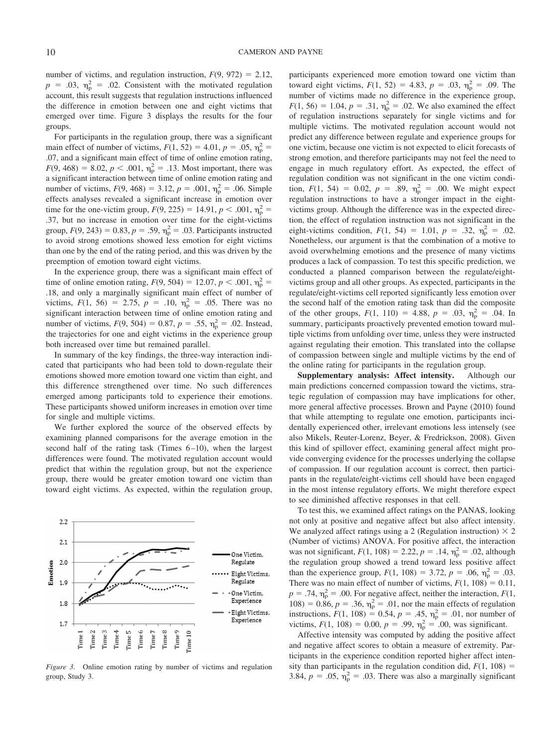number of victims, and regulation instruction,  $F(9, 972) = 2.12$ ,  $p = .03$ ,  $\eta_p^2 = .02$ . Consistent with the motivated regulation account, this result suggests that regulation instructions influenced the difference in emotion between one and eight victims that emerged over time. Figure 3 displays the results for the four groups.

For participants in the regulation group, there was a significant main effect of number of victims,  $F(1, 52) = 4.01$ ,  $p = .05$ ,  $\eta_p^2 =$ .07, and a significant main effect of time of online emotion rating,  $F(9, 468) = 8.02, p < .001, \eta_{\rm p}^2 = .13$ . Most important, there was a significant interaction between time of online emotion rating and number of victims,  $F(9, 468) = 3.12$ ,  $p = .001$ ,  $\eta_p^2 = .06$ . Simple effects analyses revealed a significant increase in emotion over time for the one-victim group,  $F(9, 225) = 14.91$ ,  $p < .001$ ,  $\eta_p^2 =$ .37, but no increase in emotion over time for the eight-victims group,  $F(9, 243) = 0.83$ ,  $p = .59$ ,  $\eta_p^2 = .03$ . Participants instructed to avoid strong emotions showed less emotion for eight victims than one by the end of the rating period, and this was driven by the preemption of emotion toward eight victims.

In the experience group, there was a significant main effect of time of online emotion rating,  $F(9, 504) = 12.07, p < .001, \eta_p^2 =$ .18, and only a marginally significant main effect of number of victims,  $F(1, 56) = 2.75$ ,  $p = .10$ ,  $\eta_p^2 = .05$ . There was no significant interaction between time of online emotion rating and number of victims,  $F(9, 504) = 0.87$ ,  $p = .55$ ,  $\eta_p^2 = .02$ . Instead, the trajectories for one and eight victims in the experience group both increased over time but remained parallel.

In summary of the key findings, the three-way interaction indicated that participants who had been told to down-regulate their emotions showed more emotion toward one victim than eight, and this difference strengthened over time. No such differences emerged among participants told to experience their emotions. These participants showed uniform increases in emotion over time for single and multiple victims.

We further explored the source of the observed effects by examining planned comparisons for the average emotion in the second half of the rating task (Times  $6-10$ ), when the largest differences were found. The motivated regulation account would predict that within the regulation group, but not the experience group, there would be greater emotion toward one victim than toward eight victims. As expected, within the regulation group,



*Figure 3.* Online emotion rating by number of victims and regulation group, Study 3.

participants experienced more emotion toward one victim than toward eight victims,  $F(1, 52) = 4.83$ ,  $p = .03$ ,  $\eta_p^2 = .09$ . The number of victims made no difference in the experience group,  $F(1, 56) = 1.04, p = .31, \eta_p^2 = .02$ . We also examined the effect of regulation instructions separately for single victims and for multiple victims. The motivated regulation account would not predict any difference between regulate and experience groups for one victim, because one victim is not expected to elicit forecasts of strong emotion, and therefore participants may not feel the need to engage in much regulatory effort. As expected, the effect of regulation condition was not significant in the one victim condition,  $F(1, 54) = 0.02$ ,  $p = .89$ ,  $\eta_p^2 = .00$ . We might expect regulation instructions to have a stronger impact in the eightvictims group. Although the difference was in the expected direction, the effect of regulation instruction was not significant in the eight-victims condition,  $F(1, 54) = 1.01$ ,  $p = .32$ ,  $\eta_p^2 = .02$ . Nonetheless, our argument is that the combination of a motive to avoid overwhelming emotions and the presence of many victims produces a lack of compassion. To test this specific prediction, we conducted a planned comparison between the regulate/eightvictims group and all other groups. As expected, participants in the regulate/eight-victims cell reported significantly less emotion over the second half of the emotion rating task than did the composite of the other groups,  $F(1, 110) = 4.88$ ,  $p = .03$ ,  $\eta_p^2 = .04$ . In summary, participants proactively prevented emotion toward multiple victims from unfolding over time, unless they were instructed against regulating their emotion. This translated into the collapse of compassion between single and multiple victims by the end of the online rating for participants in the regulation group.

**Supplementary analysis: Affect intensity.** Although our main predictions concerned compassion toward the victims, strategic regulation of compassion may have implications for other, more general affective processes. Brown and Payne (2010) found that while attempting to regulate one emotion, participants incidentally experienced other, irrelevant emotions less intensely (see also Mikels, Reuter-Lorenz, Beyer, & Fredrickson, 2008). Given this kind of spillover effect, examining general affect might provide converging evidence for the processes underlying the collapse of compassion. If our regulation account is correct, then participants in the regulate/eight-victims cell should have been engaged in the most intense regulatory efforts. We might therefore expect to see diminished affective responses in that cell.

To test this, we examined affect ratings on the PANAS, looking not only at positive and negative affect but also affect intensity. We analyzed affect ratings using a 2 (Regulation instruction)  $\times$  2 (Number of victims) ANOVA. For positive affect, the interaction was not significant,  $F(1, 108) = 2.22$ ,  $p = .14$ ,  $\eta_p^2 = .02$ , although the regulation group showed a trend toward less positive affect than the experience group,  $F(1, 108) = 3.72$ ,  $p = .06$ ,  $\eta_p^2 = .03$ . There was no main effect of number of victims,  $F(1, 108) = 0.11$ ,  $p = .74$ ,  $\eta_p^2 = .00$ . For negative affect, neither the interaction,  $F(1, 0)$  $108$ ) = 0.86,  $p = .36$ ,  $\eta_p^2 = .01$ , nor the main effects of regulation instructions,  $F(1, 108) = 0.54$ ,  $p = .45$ ,  $\eta_p^2 = .01$ , nor number of victims,  $F(1, 108) = 0.00$ ,  $p = .99$ ,  $\eta_p^2 = .00$ , was significant.

Affective intensity was computed by adding the positive affect and negative affect scores to obtain a measure of extremity. Participants in the experience condition reported higher affect intensity than participants in the regulation condition did,  $F(1, 108)$  = 3.84,  $p = .05$ ,  $\eta_p^2 = .03$ . There was also a marginally significant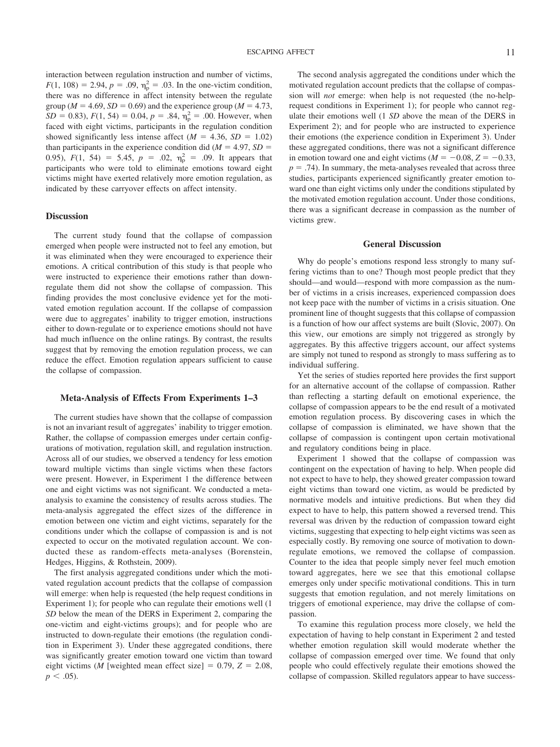interaction between regulation instruction and number of victims,  $F(1, 108) = 2.94, p = .09, \eta_p^2 = .03$ . In the one-victim condition, there was no difference in affect intensity between the regulate group ( $M = 4.69$ ,  $SD = 0.69$ ) and the experience group ( $M = 4.73$ ,  $SD = 0.83$ ,  $F(1, 54) = 0.04$ ,  $p = .84$ ,  $\eta_p^2 = .00$ . However, when faced with eight victims, participants in the regulation condition showed significantly less intense affect  $(M = 4.36, SD = 1.02)$ than participants in the experience condition did ( $M = 4.97$ ,  $SD =$ 0.95),  $F(1, 54) = 5.45$ ,  $p = .02$ ,  $\eta_p^2 = .09$ . It appears that participants who were told to eliminate emotions toward eight victims might have exerted relatively more emotion regulation, as indicated by these carryover effects on affect intensity.

# **Discussion**

The current study found that the collapse of compassion emerged when people were instructed not to feel any emotion, but it was eliminated when they were encouraged to experience their emotions. A critical contribution of this study is that people who were instructed to experience their emotions rather than downregulate them did not show the collapse of compassion. This finding provides the most conclusive evidence yet for the motivated emotion regulation account. If the collapse of compassion were due to aggregates' inability to trigger emotion, instructions either to down-regulate or to experience emotions should not have had much influence on the online ratings. By contrast, the results suggest that by removing the emotion regulation process, we can reduce the effect. Emotion regulation appears sufficient to cause the collapse of compassion.

# **Meta-Analysis of Effects From Experiments 1–3**

The current studies have shown that the collapse of compassion is not an invariant result of aggregates' inability to trigger emotion. Rather, the collapse of compassion emerges under certain configurations of motivation, regulation skill, and regulation instruction. Across all of our studies, we observed a tendency for less emotion toward multiple victims than single victims when these factors were present. However, in Experiment 1 the difference between one and eight victims was not significant. We conducted a metaanalysis to examine the consistency of results across studies. The meta-analysis aggregated the effect sizes of the difference in emotion between one victim and eight victims, separately for the conditions under which the collapse of compassion is and is not expected to occur on the motivated regulation account. We conducted these as random-effects meta-analyses (Borenstein, Hedges, Higgins, & Rothstein, 2009).

The first analysis aggregated conditions under which the motivated regulation account predicts that the collapse of compassion will emerge: when help is requested (the help request conditions in Experiment 1); for people who can regulate their emotions well (1 *SD* below the mean of the DERS in Experiment 2, comparing the one-victim and eight-victims groups); and for people who are instructed to down-regulate their emotions (the regulation condition in Experiment 3). Under these aggregated conditions, there was significantly greater emotion toward one victim than toward eight victims (*M* [weighted mean effect size]  $= 0.79$ ,  $Z = 2.08$ ,  $p < .05$ ).

The second analysis aggregated the conditions under which the motivated regulation account predicts that the collapse of compassion will *not* emerge: when help is not requested (the no-helprequest conditions in Experiment 1); for people who cannot regulate their emotions well (1 *SD* above the mean of the DERS in Experiment 2); and for people who are instructed to experience their emotions (the experience condition in Experiment 3). Under these aggregated conditions, there was not a significant difference in emotion toward one and eight victims ( $M = -0.08$ ,  $Z = -0.33$ ,  $p = .74$ ). In summary, the meta-analyses revealed that across three studies, participants experienced significantly greater emotion toward one than eight victims only under the conditions stipulated by the motivated emotion regulation account. Under those conditions, there was a significant decrease in compassion as the number of victims grew.

# **General Discussion**

Why do people's emotions respond less strongly to many suffering victims than to one? Though most people predict that they should—and would—respond with more compassion as the number of victims in a crisis increases, experienced compassion does not keep pace with the number of victims in a crisis situation. One prominent line of thought suggests that this collapse of compassion is a function of how our affect systems are built (Slovic, 2007). On this view, our emotions are simply not triggered as strongly by aggregates. By this affective triggers account, our affect systems are simply not tuned to respond as strongly to mass suffering as to individual suffering.

Yet the series of studies reported here provides the first support for an alternative account of the collapse of compassion. Rather than reflecting a starting default on emotional experience, the collapse of compassion appears to be the end result of a motivated emotion regulation process. By discovering cases in which the collapse of compassion is eliminated, we have shown that the collapse of compassion is contingent upon certain motivational and regulatory conditions being in place.

Experiment 1 showed that the collapse of compassion was contingent on the expectation of having to help. When people did not expect to have to help, they showed greater compassion toward eight victims than toward one victim, as would be predicted by normative models and intuitive predictions. But when they did expect to have to help, this pattern showed a reversed trend. This reversal was driven by the reduction of compassion toward eight victims, suggesting that expecting to help eight victims was seen as especially costly. By removing one source of motivation to downregulate emotions, we removed the collapse of compassion. Counter to the idea that people simply never feel much emotion toward aggregates, here we see that this emotional collapse emerges only under specific motivational conditions. This in turn suggests that emotion regulation, and not merely limitations on triggers of emotional experience, may drive the collapse of compassion.

To examine this regulation process more closely, we held the expectation of having to help constant in Experiment 2 and tested whether emotion regulation skill would moderate whether the collapse of compassion emerged over time. We found that only people who could effectively regulate their emotions showed the collapse of compassion. Skilled regulators appear to have success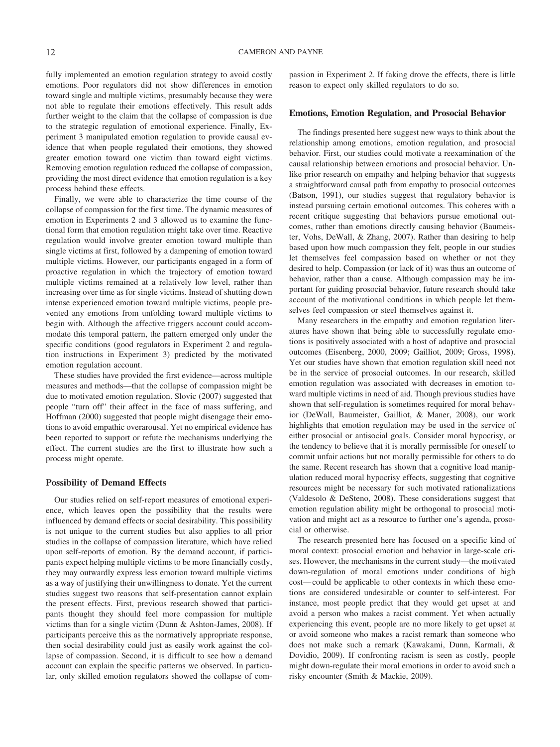fully implemented an emotion regulation strategy to avoid costly emotions. Poor regulators did not show differences in emotion toward single and multiple victims, presumably because they were not able to regulate their emotions effectively. This result adds further weight to the claim that the collapse of compassion is due to the strategic regulation of emotional experience. Finally, Experiment 3 manipulated emotion regulation to provide causal evidence that when people regulated their emotions, they showed greater emotion toward one victim than toward eight victims. Removing emotion regulation reduced the collapse of compassion, providing the most direct evidence that emotion regulation is a key process behind these effects.

Finally, we were able to characterize the time course of the collapse of compassion for the first time. The dynamic measures of emotion in Experiments 2 and 3 allowed us to examine the functional form that emotion regulation might take over time. Reactive regulation would involve greater emotion toward multiple than single victims at first, followed by a dampening of emotion toward multiple victims. However, our participants engaged in a form of proactive regulation in which the trajectory of emotion toward multiple victims remained at a relatively low level, rather than increasing over time as for single victims. Instead of shutting down intense experienced emotion toward multiple victims, people prevented any emotions from unfolding toward multiple victims to begin with. Although the affective triggers account could accommodate this temporal pattern, the pattern emerged only under the specific conditions (good regulators in Experiment 2 and regulation instructions in Experiment 3) predicted by the motivated emotion regulation account.

These studies have provided the first evidence—across multiple measures and methods—that the collapse of compassion might be due to motivated emotion regulation. Slovic (2007) suggested that people "turn off" their affect in the face of mass suffering, and Hoffman (2000) suggested that people might disengage their emotions to avoid empathic overarousal. Yet no empirical evidence has been reported to support or refute the mechanisms underlying the effect. The current studies are the first to illustrate how such a process might operate.

# **Possibility of Demand Effects**

Our studies relied on self-report measures of emotional experience, which leaves open the possibility that the results were influenced by demand effects or social desirability. This possibility is not unique to the current studies but also applies to all prior studies in the collapse of compassion literature, which have relied upon self-reports of emotion. By the demand account, if participants expect helping multiple victims to be more financially costly, they may outwardly express less emotion toward multiple victims as a way of justifying their unwillingness to donate. Yet the current studies suggest two reasons that self-presentation cannot explain the present effects. First, previous research showed that participants thought they should feel more compassion for multiple victims than for a single victim (Dunn & Ashton-James, 2008). If participants perceive this as the normatively appropriate response, then social desirability could just as easily work against the collapse of compassion. Second, it is difficult to see how a demand account can explain the specific patterns we observed. In particular, only skilled emotion regulators showed the collapse of compassion in Experiment 2. If faking drove the effects, there is little reason to expect only skilled regulators to do so.

# **Emotions, Emotion Regulation, and Prosocial Behavior**

The findings presented here suggest new ways to think about the relationship among emotions, emotion regulation, and prosocial behavior. First, our studies could motivate a reexamination of the causal relationship between emotions and prosocial behavior. Unlike prior research on empathy and helping behavior that suggests a straightforward causal path from empathy to prosocial outcomes (Batson, 1991), our studies suggest that regulatory behavior is instead pursuing certain emotional outcomes. This coheres with a recent critique suggesting that behaviors pursue emotional outcomes, rather than emotions directly causing behavior (Baumeister, Vohs, DeWall, & Zhang, 2007). Rather than desiring to help based upon how much compassion they felt, people in our studies let themselves feel compassion based on whether or not they desired to help. Compassion (or lack of it) was thus an outcome of behavior, rather than a cause. Although compassion may be important for guiding prosocial behavior, future research should take account of the motivational conditions in which people let themselves feel compassion or steel themselves against it.

Many researchers in the empathy and emotion regulation literatures have shown that being able to successfully regulate emotions is positively associated with a host of adaptive and prosocial outcomes (Eisenberg, 2000, 2009; Gailliot, 2009; Gross, 1998). Yet our studies have shown that emotion regulation skill need not be in the service of prosocial outcomes. In our research, skilled emotion regulation was associated with decreases in emotion toward multiple victims in need of aid. Though previous studies have shown that self-regulation is sometimes required for moral behavior (DeWall, Baumeister, Gailliot, & Maner, 2008), our work highlights that emotion regulation may be used in the service of either prosocial or antisocial goals. Consider moral hypocrisy, or the tendency to believe that it is morally permissible for oneself to commit unfair actions but not morally permissible for others to do the same. Recent research has shown that a cognitive load manipulation reduced moral hypocrisy effects, suggesting that cognitive resources might be necessary for such motivated rationalizations (Valdesolo & DeSteno, 2008). These considerations suggest that emotion regulation ability might be orthogonal to prosocial motivation and might act as a resource to further one's agenda, prosocial or otherwise.

The research presented here has focused on a specific kind of moral context: prosocial emotion and behavior in large-scale crises. However, the mechanisms in the current study—the motivated down-regulation of moral emotions under conditions of high cost— could be applicable to other contexts in which these emotions are considered undesirable or counter to self-interest. For instance, most people predict that they would get upset at and avoid a person who makes a racist comment. Yet when actually experiencing this event, people are no more likely to get upset at or avoid someone who makes a racist remark than someone who does not make such a remark (Kawakami, Dunn, Karmali, & Dovidio, 2009). If confronting racism is seen as costly, people might down-regulate their moral emotions in order to avoid such a risky encounter (Smith & Mackie, 2009).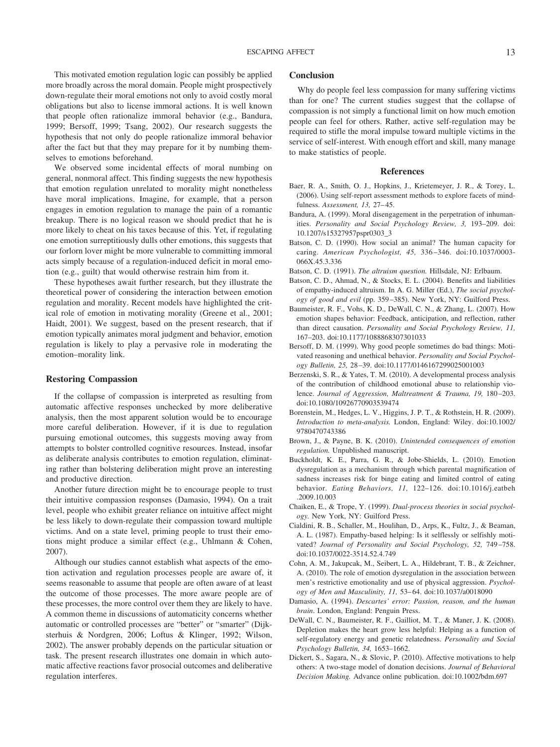This motivated emotion regulation logic can possibly be applied more broadly across the moral domain. People might prospectively down-regulate their moral emotions not only to avoid costly moral obligations but also to license immoral actions. It is well known that people often rationalize immoral behavior (e.g., Bandura, 1999; Bersoff, 1999; Tsang, 2002). Our research suggests the hypothesis that not only do people rationalize immoral behavior after the fact but that they may prepare for it by numbing themselves to emotions beforehand.

We observed some incidental effects of moral numbing on general, nonmoral affect. This finding suggests the new hypothesis that emotion regulation unrelated to morality might nonetheless have moral implications. Imagine, for example, that a person engages in emotion regulation to manage the pain of a romantic breakup. There is no logical reason we should predict that he is more likely to cheat on his taxes because of this. Yet, if regulating one emotion surreptitiously dulls other emotions, this suggests that our forlorn lover might be more vulnerable to committing immoral acts simply because of a regulation-induced deficit in moral emotion (e.g., guilt) that would otherwise restrain him from it.

These hypotheses await further research, but they illustrate the theoretical power of considering the interaction between emotion regulation and morality. Recent models have highlighted the critical role of emotion in motivating morality (Greene et al., 2001; Haidt, 2001). We suggest, based on the present research, that if emotion typically animates moral judgment and behavior, emotion regulation is likely to play a pervasive role in moderating the emotion–morality link.

# **Restoring Compassion**

If the collapse of compassion is interpreted as resulting from automatic affective responses unchecked by more deliberative analysis, then the most apparent solution would be to encourage more careful deliberation. However, if it is due to regulation pursuing emotional outcomes, this suggests moving away from attempts to bolster controlled cognitive resources. Instead, insofar as deliberate analysis contributes to emotion regulation, eliminating rather than bolstering deliberation might prove an interesting and productive direction.

Another future direction might be to encourage people to trust their intuitive compassion responses (Damasio, 1994). On a trait level, people who exhibit greater reliance on intuitive affect might be less likely to down-regulate their compassion toward multiple victims. And on a state level, priming people to trust their emotions might produce a similar effect (e.g., Uhlmann & Cohen, 2007).

Although our studies cannot establish what aspects of the emotion activation and regulation processes people are aware of, it seems reasonable to assume that people are often aware of at least the outcome of those processes. The more aware people are of these processes, the more control over them they are likely to have. A common theme in discussions of automaticity concerns whether automatic or controlled processes are "better" or "smarter" (Dijksterhuis & Nordgren, 2006; Loftus & Klinger, 1992; Wilson, 2002). The answer probably depends on the particular situation or task. The present research illustrates one domain in which automatic affective reactions favor prosocial outcomes and deliberative regulation interferes.

# **Conclusion**

Why do people feel less compassion for many suffering victims than for one? The current studies suggest that the collapse of compassion is not simply a functional limit on how much emotion people can feel for others. Rather, active self-regulation may be required to stifle the moral impulse toward multiple victims in the service of self-interest. With enough effort and skill, many manage to make statistics of people.

# **References**

- Baer, R. A., Smith, O. J., Hopkins, J., Krietemeyer, J. R., & Torey, L. (2006). Using self-report assessment methods to explore facets of mindfulness. *Assessment, 13, 27-45.*
- Bandura, A. (1999). Moral disengagement in the perpetration of inhumanities. *Personality and Social Psychology Review, 3,* 193–209. doi: 10.1207/s15327957pspr0303\_3
- Batson, C. D. (1990). How social an animal? The human capacity for caring. *American Psychologist, 45,* 336 –346. doi:10.1037/0003- 066X.45.3.336

Batson, C. D. (1991). *The altruism question.* Hillsdale, NJ: Erlbaum.

- Batson, C. D., Ahmad, N., & Stocks, E. L. (2004). Benefits and liabilities of empathy-induced altruism. In A. G. Miller (Ed.), *The social psychology of good and evil* (pp. 359 –385). New York, NY: Guilford Press.
- Baumeister, R. F., Vohs, K. D., DeWall, C. N., & Zhang, L. (2007). How emotion shapes behavior: Feedback, anticipation, and reflection, rather than direct causation. *Personality and Social Psychology Review, 11,* 167–203. doi:10.1177/1088868307301033
- Bersoff, D. M. (1999). Why good people sometimes do bad things: Motivated reasoning and unethical behavior. *Personality and Social Psychology Bulletin, 25,* 28 –39. doi:10.1177/0146167299025001003
- Berzenski, S. R., & Yates, T. M. (2010). A developmental process analysis of the contribution of childhood emotional abuse to relationship violence. *Journal of Aggression, Maltreatment & Trauma, 19, 180-203.* doi:10.1080/10926770903539474
- Borenstein, M., Hedges, L. V., Higgins, J. P. T., & Rothstein, H. R. (2009). *Introduction to meta-analysis.* London, England: Wiley. doi:10.1002/ 9780470743386
- Brown, J., & Payne, B. K. (2010). *Unintended consequences of emotion regulation.* Unpublished manuscript.
- Buckholdt, K. E., Parra, G. R., & Jobe-Shields, L. (2010). Emotion dysregulation as a mechanism through which parental magnification of sadness increases risk for binge eating and limited control of eating behavior. *Eating Behaviors, 11,* 122–126. doi:10.1016/j.eatbeh .2009.10.003
- Chaiken, E., & Trope, Y. (1999). *Dual-process theories in social psychology.* New York, NY: Guilford Press.
- Cialdini, R. B., Schaller, M., Houlihan, D., Arps, K., Fultz, J., & Beaman, A. L. (1987). Empathy-based helping: Is it selflessly or selfishly motivated? *Journal of Personality and Social Psychology, 52,* 749 –758. doi:10.1037/0022-3514.52.4.749
- Cohn, A. M., Jakupcak, M., Seibert, L. A., Hildebrant, T. B., & Zeichner, A. (2010). The role of emotion dysregulation in the association between men's restrictive emotionality and use of physical aggression. *Psychology of Men and Masculinity, 11,* 53– 64. doi:10.1037/a0018090
- Damasio, A. (1994). *Descartes' error: Passion, reason, and the human brain*. London, England: Penguin Press.
- DeWall, C. N., Baumeister, R. F., Gailliot, M. T., & Maner, J. K. (2008). Depletion makes the heart grow less helpful: Helping as a function of self-regulatory energy and genetic relatedness. *Personality and Social Psychology Bulletin, 34,* 1653–1662.
- Dickert, S., Sagara, N., & Slovic, P. (2010). Affective motivations to help others: A two-stage model of donation decisions. *Journal of Behavioral Decision Making.* Advance online publication. doi:10.1002/bdm.697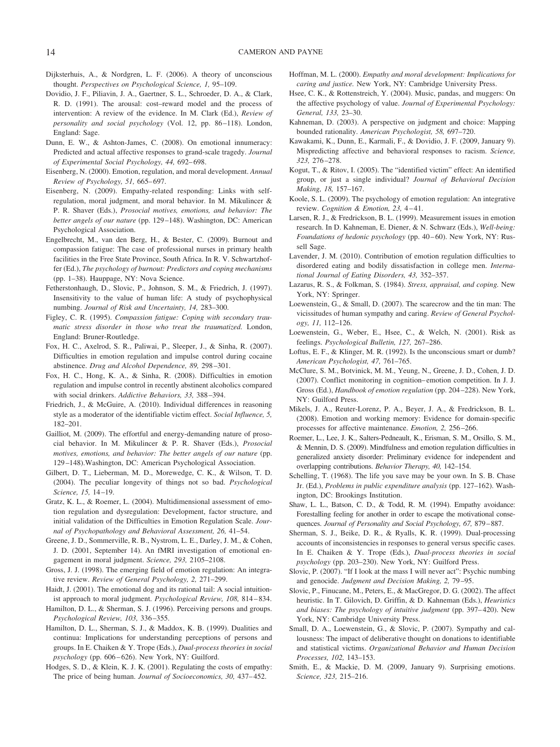- Dijksterhuis, A., & Nordgren, L. F. (2006). A theory of unconscious thought. *Perspectives on Psychological Science, 1,* 95–109.
- Dovidio, J. F., Piliavin, J. A., Gaertner, S. L., Schroeder, D. A., & Clark, R. D. (1991). The arousal: cost–reward model and the process of intervention: A review of the evidence. In M. Clark (Ed.), *Review of personality and social psychology* (Vol. 12, pp. 86-118). London, England: Sage.
- Dunn, E. W., & Ashton-James, C. (2008). On emotional innumeracy: Predicted and actual affective responses to grand-scale tragedy. *Journal of Experimental Social Psychology, 44,* 692– 698.
- Eisenberg, N. (2000). Emotion, regulation, and moral development. *Annual Review of Psychology, 51,* 665– 697.
- Eisenberg, N. (2009). Empathy-related responding: Links with selfregulation, moral judgment, and moral behavior. In M. Mikulincer & P. R. Shaver (Eds.), *Prosocial motives, emotions, and behavior: The better angels of our nature* (pp. 129 –148). Washington, DC: American Psychological Association.
- Engelbrecht, M., van den Berg, H., & Bester, C. (2009). Burnout and compassion fatigue: The case of professional nurses in primary health facilities in the Free State Province, South Africa. In R. V. Schwartzhoffer (Ed.), *The psychology of burnout: Predictors and coping mechanisms* (pp. 1–38). Hauppage, NY: Nova Science.
- Fetherstonhaugh, D., Slovic, P., Johnson, S. M., & Friedrich, J. (1997). Insensitivity to the value of human life: A study of psychophysical numbing. *Journal of Risk and Uncertainty, 14,* 283–300.
- Figley, C. R. (1995). *Compassion fatigue: Coping with secondary traumatic stress disorder in those who treat the traumatized.* London, England: Bruner-Routledge.
- Fox, H. C., Axelrod, S. R., Paliwai, P., Sleeper, J., & Sinha, R. (2007). Difficulties in emotion regulation and impulse control during cocaine abstinence. *Drug and Alcohol Dependence, 89,* 298 –301.
- Fox, H. C., Hong, K. A., & Sinha, R. (2008). Difficulties in emotion regulation and impulse control in recently abstinent alcoholics compared with social drinkers. *Addictive Behaviors, 33,* 388 –394.
- Friedrich, J., & McGuire, A. (2010). Individual differences in reasoning style as a moderator of the identifiable victim effect. *Social Influence, 5,* 182–201.
- Gailliot, M. (2009). The effortful and energy-demanding nature of prosocial behavior. In M. Mikulincer & P. R. Shaver (Eds.), *Prosocial motives, emotions, and behavior: The better angels of our nature* (pp. 129 –148).Washington, DC: American Psychological Association.
- Gilbert, D. T., Lieberman, M. D., Morewedge, C. K., & Wilson, T. D. (2004). The peculiar longevity of things not so bad. *Psychological Science, 15,* 14 –19.
- Gratz, K. L., & Roemer, L. (2004). Multidimensional assessment of emotion regulation and dysregulation: Development, factor structure, and initial validation of the Difficulties in Emotion Regulation Scale. *Journal of Psychopathology and Behavioral Assessment, 26,* 41–54.
- Greene, J. D., Sommerville, R. B., Nystrom, L. E., Darley, J. M., & Cohen, J. D. (2001, September 14). An fMRI investigation of emotional engagement in moral judgment. *Science, 293,* 2105–2108.
- Gross, J. J. (1998). The emerging field of emotion regulation: An integrative review. *Review of General Psychology, 2,* 271–299.
- Haidt, J. (2001). The emotional dog and its rational tail: A social intuitionist approach to moral judgment. *Psychological Review, 108,* 814 – 834.
- Hamilton, D. L., & Sherman, S. J. (1996). Perceiving persons and groups. *Psychological Review, 103,* 336 –355.
- Hamilton, D. L., Sherman, S. J., & Maddox, K. B. (1999). Dualities and continua: Implications for understanding perceptions of persons and groups. In E. Chaiken & Y. Trope (Eds.), *Dual-process theories in social psychology* (pp. 606 – 626). New York, NY: Guilford.
- Hodges, S. D., & Klein, K. J. K. (2001). Regulating the costs of empathy: The price of being human. *Journal of Socioeconomics, 30,* 437– 452.
- Hoffman, M. L. (2000). *Empathy and moral development: Implications for caring and justice.* New York, NY: Cambridge University Press.
- Hsee, C. K., & Rottenstreich, Y. (2004). Music, pandas, and muggers: On the affective psychology of value. *Journal of Experimental Psychology: General, 133,* 23–30.
- Kahneman, D. (2003). A perspective on judgment and choice: Mapping bounded rationality. *American Psychologist, 58,* 697–720.
- Kawakami, K., Dunn, E., Karmali, F., & Dovidio, J. F. (2009, January 9). Mispredicting affective and behavioral responses to racism. *Science, 323,* 276 –278.
- Kogut, T., & Ritov, I. (2005). The "identified victim" effect: An identified group, or just a single individual? *Journal of Behavioral Decision Making, 18,* 157–167.
- Koole, S. L. (2009). The psychology of emotion regulation: An integrative review. *Cognition & Emotion, 23,* 4 – 41.
- Larsen, R. J., & Fredrickson, B. L. (1999). Measurement issues in emotion research. In D. Kahneman, E. Diener, & N. Schwarz (Eds.), *Well-being:* Foundations of hedonic psychology (pp. 40-60). New York, NY: Russell Sage.
- Lavender, J. M. (2010). Contribution of emotion regulation difficulties to disordered eating and bodily dissatisfaction in college men. *International Journal of Eating Disorders, 43,* 352–357.
- Lazarus, R. S., & Folkman, S. (1984). *Stress, appraisal, and coping.* New York, NY: Springer.
- Loewenstein, G., & Small, D. (2007). The scarecrow and the tin man: The vicissitudes of human sympathy and caring. *Review of General Psychology, 11,* 112–126.
- Loewenstein, G., Weber, E., Hsee, C., & Welch, N. (2001). Risk as feelings. *Psychological Bulletin, 127,* 267–286.
- Loftus, E. F., & Klinger, M. R. (1992). Is the unconscious smart or dumb? *American Psychologist, 47,* 761–765.
- McClure, S. M., Botvinick, M. M., Yeung, N., Greene, J. D., Cohen, J. D. (2007). Conflict monitoring in cognition– emotion competition. In J. J. Gross (Ed.), *Handbook of emotion regulation* (pp. 204 –228). New York, NY: Guilford Press.
- Mikels, J. A., Reuter-Lorenz, P. A., Beyer, J. A., & Fredrickson, B. L. (2008). Emotion and working memory: Evidence for domain-specific processes for affective maintenance. *Emotion, 2,* 256 –266.
- Roemer, L., Lee, J. K., Salters-Pedneault, K., Erisman, S. M., Orsillo, S. M., & Mennin, D. S. (2009). Mindfulness and emotion regulation difficulties in generalized anxiety disorder: Preliminary evidence for independent and overlapping contributions. *Behavior Therapy, 40,* 142–154.
- Schelling, T. (1968). The life you save may be your own. In S. B. Chase Jr. (Ed.), *Problems in public expenditure analysis* (pp. 127–162). Washington, DC: Brookings Institution.
- Shaw, L. L., Batson, C. D., & Todd, R. M. (1994). Empathy avoidance: Forestalling feeling for another in order to escape the motivational consequences. *Journal of Personality and Social Psychology, 67,* 879 – 887.
- Sherman, S. J., Beike, D. R., & Ryalls, K. R. (1999). Dual-processing accounts of inconsistencies in responses to general versus specific cases. In E. Chaiken & Y. Trope (Eds.), *Dual-process theories in social psychology* (pp. 203–230). New York, NY: Guilford Press.
- Slovic, P. (2007). "If I look at the mass I will never act": Psychic numbing and genocide. *Judgment and Decision Making, 2,* 79 –95.
- Slovic, P., Finucane, M., Peters, E., & MacGregor, D. G. (2002). The affect heuristic. In T. Gilovich, D. Griffin, & D. Kahneman (Eds.), *Heuristics and biases: The psychology of intuitive judgment* (pp. 397– 420). New York, NY: Cambridge University Press.
- Small, D. A., Loewenstein, G., & Slovic, P. (2007). Sympathy and callousness: The impact of deliberative thought on donations to identifiable and statistical victims. *Organizational Behavior and Human Decision Processes, 102,* 143–153.
- Smith, E., & Mackie, D. M. (2009, January 9). Surprising emotions. *Science, 323,* 215–216.